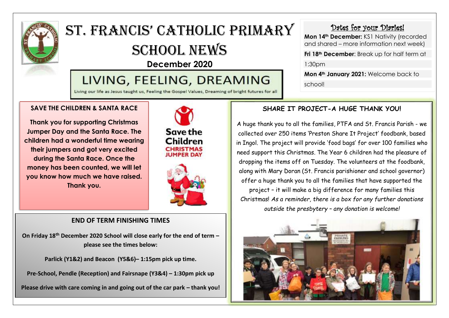

# ST. Francis' Catholic Primary SCHOOL NEWS

**December 2020**

## LIVING, FEELING, DREAMING

Living our life as Jesus taught us, Feeling the Gospel Values, Dreaming of bright futures for all

#### **SAVE THE CHILDREN & SANTA RACE**

**Thank you for supporting Christmas Jumper Day and the Santa Race. The children had a wonderful time wearing their jumpers and got very excited during the Santa Race. Once the money has been counted, we will let you know how much we have raised. Thank you.**





#### **END OF TERM FINISHING TIMES**

**On Friday 18th December 2020 School will close early for the end of term – please see the times below:**

**Parlick (Y1&2) and Beacon (Y5&6)– 1:15pm pick up time.**

**Pre-School, Pendle (Reception) and Fairsnape (Y3&4) – 1:30pm pick up**

**Please drive with care coming in and going out of the car park – thank you!**

#### Dates for your Diaries!

**Mon 14th December:** KS1 Nativity (recorded and shared – more information next week)

**Fri 18th December**: Break up for half term at

1:30pm

**Mon 4th January 2021:** Welcome back to school!

#### **SHARE IT PROJECT-A HUGE THANK YOU!**

A huge thank you to all the families, PTFA and St. Francis Parish - we collected over 250 items 'Preston Share It Project' foodbank, based in Ingol. The project will provide 'food bags' for over 100 families who need support this Christmas. The Year 6 children had the pleasure of dropping the items off on Tuesday. The volunteers at the foodbank, along with Mary Doran (St. Francis parishioner and school governor) offer a huge thank you to all the families that have supported the project – it will make a big difference for many families this Christmas! *As a reminder, there is a box for any further donations outside the presbytery – any donation is welcome!*